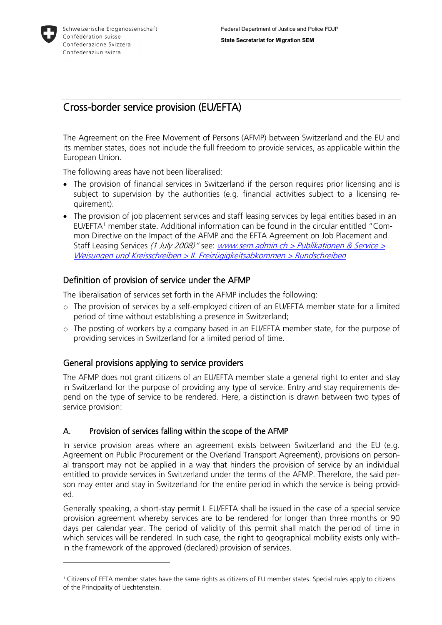

-

# Cross-border service provision (EU/EFTA)

The Agreement on the Free Movement of Persons (AFMP) between Switzerland and the EU and its member states, does not include the full freedom to provide services, as applicable within the European Union.

The following areas have not been liberalised:

- The provision of financial services in Switzerland if the person requires prior licensing and is subject to supervision by the authorities (e.g. financial activities subject to a licensing requirement).
- The provision of job placement services and staff leasing services by legal entities based in an EU/EFTA[1](#page-0-0) member state. Additional information can be found in the circular entitled "Common Directive on the Impact of the AFMP and the EFTA Agreement on Job Placement and Staff Leasing Services (1 July 2008)" see: www.sem.admin.ch > Publikationen & Service  $\geq$ [Weisungen und Kreisschreiben > II. Freizügigkeitsabkommen > Rundschreiben](https://www.sem.admin.ch/sem/de/home/publiservice/weisungen-kreisschreiben/fza.html)

## Definition of provision of service under the AFMP

The liberalisation of services set forth in the AFMP includes the following:

- o The provision of services by a self-employed citizen of an EU/EFTA member state for a limited period of time without establishing a presence in Switzerland;
- o The posting of workers by a company based in an EU/EFTA member state, for the purpose of providing services in Switzerland for a limited period of time.

## General provisions applying to service providers

The AFMP does not grant citizens of an EU/EFTA member state a general right to enter and stay in Switzerland for the purpose of providing any type of service. Entry and stay requirements depend on the type of service to be rendered. Here, a distinction is drawn between two types of service provision:

#### A. Provision of services falling within the scope of the AFMP

In service provision areas where an agreement exists between Switzerland and the EU (e.g. Agreement on Public Procurement or the Overland Transport Agreement), provisions on personal transport may not be applied in a way that hinders the provision of service by an individual entitled to provide services in Switzerland under the terms of the AFMP. Therefore, the said person may enter and stay in Switzerland for the entire period in which the service is being provided.

Generally speaking, a short-stay permit L EU/EFTA shall be issued in the case of a special service provision agreement whereby services are to be rendered for longer than three months or 90 days per calendar year. The period of validity of this permit shall match the period of time in which services will be rendered. In such case, the right to geographical mobility exists only within the framework of the approved (declared) provision of services.

<span id="page-0-0"></span><sup>1</sup> Citizens of EFTA member states have the same rights as citizens of EU member states. Special rules apply to citizens of the Principality of Liechtenstein.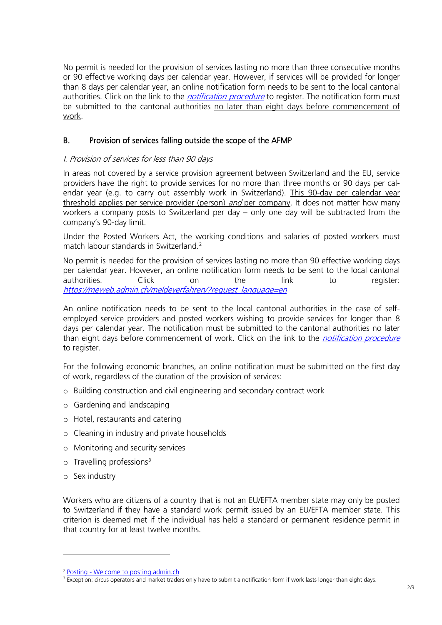No permit is needed for the provision of services lasting no more than three consecutive months or 90 effective working days per calendar year. However, if services will be provided for longer than 8 days per calendar year, an online notification form needs to be sent to the local cantonal authorities. Click on the link to the *[notification procedure](https://meweb.admin.ch/meldeverfahren/?request_language=en)* to register. The notification form must be submitted to the cantonal authorities no later than eight days before commencement of work.

### B. Provision of services falling outside the scope of the AFMP

#### I. Provision of services for less than 90 days

In areas not covered by a service provision agreement between Switzerland and the EU, service providers have the right to provide services for no more than three months or 90 days per calendar year (e.g. to carry out assembly work in Switzerland). This 90-day per calendar year threshold applies per service provider (person) and per company. It does not matter how many workers a company posts to Switzerland per day – only one day will be subtracted from the company's 90-day limit.

Under the Posted Workers Act, the working conditions and salaries of posted workers must match labour standards in Switzerland.<sup>[2](#page-1-0)</sup>

No permit is needed for the provision of services lasting no more than 90 effective working days per calendar year. However, an online notification form needs to be sent to the local cantonal authorities. Click on the link to register: [https://meweb.admin.ch/meldeverfahren/?request\\_language=en](https://meweb.admin.ch/meldeverfahren/?request_language=en)

An online notification needs to be sent to the local cantonal authorities in the case of selfemployed service providers and posted workers wishing to provide services for longer than 8 days per calendar year. The notification must be submitted to the cantonal authorities no later than eight days before commencement of work. Click on the link to the *[notification procedure](https://meweb.admin.ch/meldeverfahren/?request_language=en)* to register.

For the following economic branches, an online notification must be submitted on the first day of work, regardless of the duration of the provision of services:

- o Building construction and civil engineering and secondary contract work
- o Gardening and landscaping
- o Hotel, restaurants and catering
- o Cleaning in industry and private households
- o Monitoring and security services
- $\circ$  Travelling professions<sup>[3](#page-1-1)</sup>
- o Sex industry

-

Workers who are citizens of a country that is not an EU/EFTA member state may only be posted to Switzerland if they have a standard work permit issued by an EU/EFTA member state. This criterion is deemed met if the individual has held a standard or permanent residence permit in that country for at least twelve months.

<sup>2</sup> Posting - [Welcome to posting.admin.ch](https://entsendung.admin.ch/cms/content/willkommen_en)

<span id="page-1-1"></span><span id="page-1-0"></span><sup>&</sup>lt;sup>3</sup> Exception: circus operators and market traders only have to submit a notification form if work lasts longer than eight days.